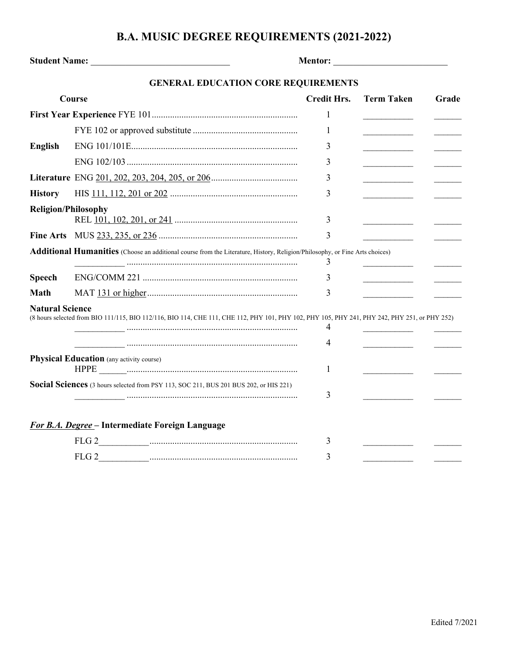## **B.A. MUSIC DEGREE REQUIREMENTS (2021-2022)**

**Student Name:** \_\_\_\_\_\_\_\_\_\_\_\_\_\_\_\_\_\_\_\_\_\_\_\_\_\_\_\_ **Mentor:** \_\_\_\_\_\_\_\_\_\_\_\_\_\_\_\_\_\_\_\_\_\_\_

## **GENERAL EDUCATION CORE REQUIREMENTS**

|                            | Course                                                                                                                                                                                                                                                                                                                                                                                                                                                                                                                       | <b>Credit Hrs.</b> | <b>Term Taken</b> | Grade |
|----------------------------|------------------------------------------------------------------------------------------------------------------------------------------------------------------------------------------------------------------------------------------------------------------------------------------------------------------------------------------------------------------------------------------------------------------------------------------------------------------------------------------------------------------------------|--------------------|-------------------|-------|
|                            |                                                                                                                                                                                                                                                                                                                                                                                                                                                                                                                              | 1                  |                   |       |
|                            |                                                                                                                                                                                                                                                                                                                                                                                                                                                                                                                              | 1                  |                   |       |
| <b>English</b>             |                                                                                                                                                                                                                                                                                                                                                                                                                                                                                                                              | 3                  |                   |       |
|                            |                                                                                                                                                                                                                                                                                                                                                                                                                                                                                                                              | 3                  |                   |       |
|                            |                                                                                                                                                                                                                                                                                                                                                                                                                                                                                                                              | 3                  |                   |       |
| <b>History</b>             |                                                                                                                                                                                                                                                                                                                                                                                                                                                                                                                              | 3                  |                   |       |
| <b>Religion/Philosophy</b> |                                                                                                                                                                                                                                                                                                                                                                                                                                                                                                                              | 3                  |                   |       |
|                            |                                                                                                                                                                                                                                                                                                                                                                                                                                                                                                                              | 3                  |                   |       |
|                            | Additional Humanities (Choose an additional course from the Literature, History, Religion/Philosophy, or Fine Arts choices)                                                                                                                                                                                                                                                                                                                                                                                                  | 3                  |                   |       |
| <b>Speech</b>              |                                                                                                                                                                                                                                                                                                                                                                                                                                                                                                                              | 3                  |                   |       |
| <b>Math</b>                |                                                                                                                                                                                                                                                                                                                                                                                                                                                                                                                              | 3                  |                   |       |
| <b>Natural Science</b>     | (8 hours selected from BIO 111/115, BIO 112/116, BIO 114, CHE 111, CHE 112, PHY 101, PHY 102, PHY 105, PHY 241, PHY 242, PHY 251, or PHY 252)<br>$\begin{picture}(10,10) \put(0,0){\vector(1,0){10}} \put(10,0){\vector(1,0){10}} \put(10,0){\vector(1,0){10}} \put(10,0){\vector(1,0){10}} \put(10,0){\vector(1,0){10}} \put(10,0){\vector(1,0){10}} \put(10,0){\vector(1,0){10}} \put(10,0){\vector(1,0){10}} \put(10,0){\vector(1,0){10}} \put(10,0){\vector(1,0){10}} \put(10,0){\vector(1,0){10}} \put(10,0){\vector(1$ | 4<br>4             |                   |       |
|                            | <b>Physical Education</b> (any activity course)                                                                                                                                                                                                                                                                                                                                                                                                                                                                              | 1                  |                   |       |
|                            | Social Sciences (3 hours selected from PSY 113, SOC 211, BUS 201 BUS 202, or HIS 221)                                                                                                                                                                                                                                                                                                                                                                                                                                        | 3                  |                   |       |
|                            | <b>For B.A. Degree - Intermediate Foreign Language</b>                                                                                                                                                                                                                                                                                                                                                                                                                                                                       |                    |                   |       |
|                            |                                                                                                                                                                                                                                                                                                                                                                                                                                                                                                                              | 3                  |                   |       |
|                            | FLG <sub>2</sub>                                                                                                                                                                                                                                                                                                                                                                                                                                                                                                             | 3                  |                   |       |